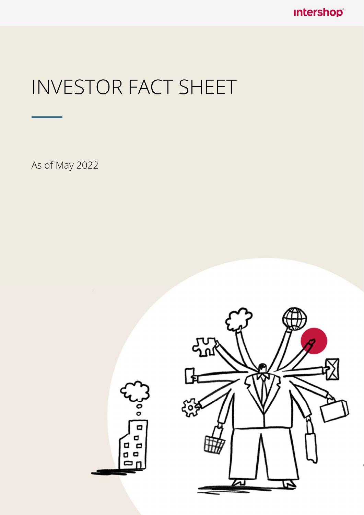**Intershop®** 

## INVESTOR FACT SHEET

As of May 2022

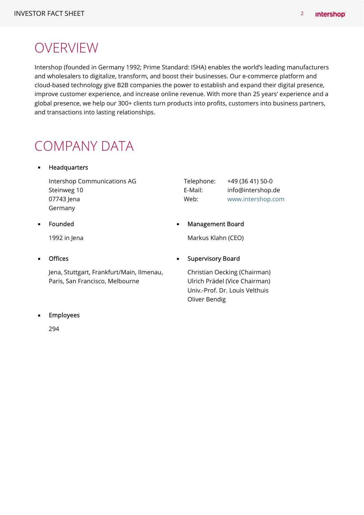### **OVERVIEW**

Intershop (founded in Germany 1992; Prime Standard: ISHA) enables the world's leading manufacturers and wholesalers to digitalize, transform, and boost their businesses. Our e-commerce platform and cloud-based technology give B2B companies the power to establish and expand their digital presence, improve customer experience, and increase online revenue. With more than 25 years' experience and a global presence, we help our 300+ clients turn products into profits, customers into business partners, and transactions into lasting relationships.

### COMPANY DATA

### Headquarters

Intershop Communications AG Steinweg 10 07743 Jena Germany

| Telephone: | +49 (36 41) 50-0  |
|------------|-------------------|
| E-Mail:    | info@intershop.de |
| Web:       | www.intershop.com |

### Founded

1992 in Jena

### **Offices**

Jena, Stuttgart, Frankfurt/Main, Ilmenau, Paris, San Francisco, Melbourne

### Supervisory Board

Markus Klahn (CEO)

Management Board

Christian Oecking (Chairman) Ulrich Prädel (Vice Chairman) Univ.-Prof. Dr. Louis Velthuis Oliver Bendig

### Employees

294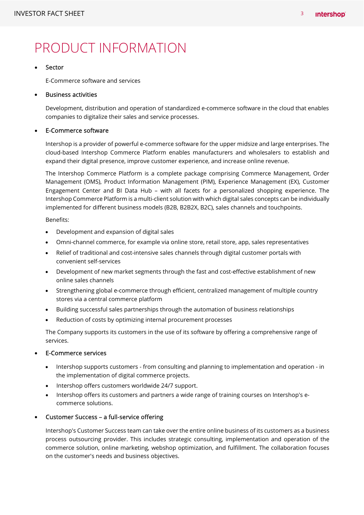### PRODUCT INFORMATION

#### Sector

E-Commerce software and services

#### Business activities

Development, distribution and operation of standardized e-commerce software in the cloud that enables companies to digitalize their sales and service processes.

#### E-Commerce software

Intershop is a provider of powerful e-commerce software for the upper midsize and large enterprises. The cloud-based Intershop Commerce Platform enables manufacturers and wholesalers to establish and expand their digital presence, improve customer experience, and increase online revenue.

The Intershop Commerce Platform is a complete package comprising Commerce Management, Order Management (OMS), Product Information Management (PIM), Experience Management (EX), Customer Engagement Center and BI Data Hub – with all facets for a personalized shopping experience. The Intershop Commerce Platform is a multi-client solution with which digital sales concepts can be individually implemented for different business models (B2B, B2B2X, B2C), sales channels and touchpoints.

Benefits:

- Development and expansion of digital sales
- Omni-channel commerce, for example via online store, retail store, app, sales representatives
- Relief of traditional and cost-intensive sales channels through digital customer portals with convenient self-services
- Development of new market segments through the fast and cost-effective establishment of new online sales channels
- Strengthening global e-commerce through efficient, centralized management of multiple country stores via a central commerce platform
- Building successful sales partnerships through the automation of business relationships
- Reduction of costs by optimizing internal procurement processes

The Company supports its customers in the use of its software by offering a comprehensive range of services.

#### E-Commerce services

- Intershop supports customers from consulting and planning to implementation and operation in the implementation of digital commerce projects.
- Intershop offers customers worldwide 24/7 support.
- Intershop offers its customers and partners a wide range of training courses on Intershop's ecommerce solutions.
- Customer Success a full-service offering

Intershop's Customer Success team can take over the entire online business of its customers as a business process outsourcing provider. This includes strategic consulting, implementation and operation of the commerce solution, online marketing, webshop optimization, and fulfillment. The collaboration focuses on the customer's needs and business objectives.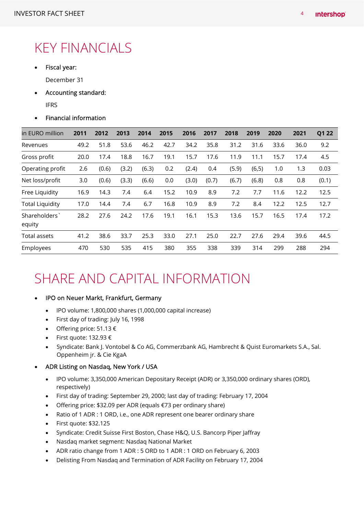### KEY FINANCIALS

• Fiscal year:

December 31

- Accounting standard:
	- IFRS

### Financial information

| in EURO million        | 2011 | 2012  | 2013  | 2014  | 2015 | 2016  | 2017  | 2018  | 2019   | 2020 | 2021 | Q1 22 |
|------------------------|------|-------|-------|-------|------|-------|-------|-------|--------|------|------|-------|
| Revenues               | 49.2 | 51.8  | 53.6  | 46.2  | 42.7 | 34.2  | 35.8  | 31.2  | 31.6   | 33.6 | 36.0 | 9.2   |
| Gross profit           | 20.0 | 17.4  | 18.8  | 16.7  | 19.1 | 15.7  | 17.6  | 11.9  | 11.1   | 15.7 | 17.4 | 4.5   |
| Operating profit       | 2.6  | (0.6) | (3.2) | (6.3) | 0.2  | (2.4) | 0.4   | (5.9) | (6, 5) | 1.0  | 1.3  | 0.03  |
| Net loss/profit        | 3.0  | (0.6) | (3.3) | (6.6) | 0.0  | (3.0) | (0.7) | (6.7) | (6.8)  | 0.8  | 0.8  | (0.1) |
| Free Liquidity         | 16.9 | 14.3  | 7.4   | 6.4   | 15.2 | 10.9  | 8.9   | 7.2   | 7.7    | 11.6 | 12.2 | 12.5  |
| <b>Total Liquidity</b> | 17.0 | 14.4  | 7.4   | 6.7   | 16.8 | 10.9  | 8.9   | 7.2   | 8.4    | 12.2 | 12.5 | 12.7  |
| Shareholders<br>equity | 28.2 | 27.6  | 24.2  | 17.6  | 19.1 | 16.1  | 15.3  | 13.6  | 15.7   | 16.5 | 17.4 | 17.2  |
| Total assets           | 41.2 | 38.6  | 33.7  | 25.3  | 33.0 | 27.1  | 25.0  | 22.7  | 27.6   | 29.4 | 39.6 | 44.5  |
| Employees              | 470  | 530   | 535   | 415   | 380  | 355   | 338   | 339   | 314    | 299  | 288  | 294   |

### SHARE AND CAPITAL INFORMATION

- IPO on Neuer Markt, Frankfurt, Germany
	- IPO volume: 1,800,000 shares (1,000,000 capital increase)
	- First day of trading: July 16, 1998
	- Offering price:  $51.13 \in$
	- First quote: 132.93 €
	- Syndicate: Bank J. Vontobel & Co AG, Commerzbank AG, Hambrecht & Quist Euromarkets S.A., Sal. Oppenheim jr. & Cie KgaA

### ADR Listing on Nasdaq, New York / USA

- IPO volume: 3,350,000 American Depositary Receipt (ADR) or 3,350,000 ordinary shares (ORD), respectively)
- First day of trading: September 29, 2000; last day of trading: February 17, 2004
- Offering price: \$32.09 per ADR (equals €73 per ordinary share)
- Ratio of 1 ADR : 1 ORD, i.e., one ADR represent one bearer ordinary share
- First quote: \$32.125
- Syndicate: Credit Suisse First Boston, Chase H&Q, U.S. Bancorp Piper Jaffray
- Nasdaq market segment: Nasdaq National Market
- ADR ratio change from 1 ADR : 5 ORD to 1 ADR : 1 ORD on February 6, 2003
- Delisting From Nasdaq and Termination of ADR Facility on February 17, 2004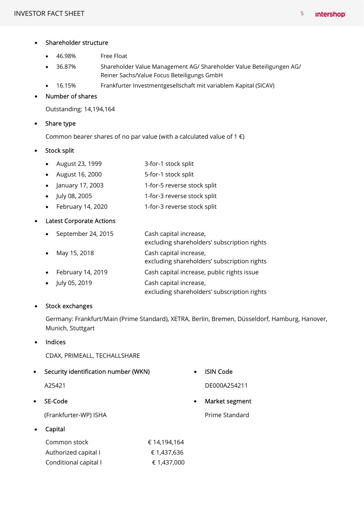|  | Shareholder structure |  |
|--|-----------------------|--|
|--|-----------------------|--|

- 46.98% Free Float
- 36.87% Shareholder Value Management AG/ Shareholder Value Beteiligungen AG/ Reiner Sachs/Value Focus Beteiligungs GmbH
- 16.15% Frankfurter Investmentgesellschaft mit variablem Kapital (SICAV)

#### Number of shares

Outstanding: 14,194,164

#### • Share type

Common bearer shares of no par value (with a calculated value of 1 $\epsilon$ )

#### Stock split

- August 23, 1999 3-for-1 stock split
- August 16, 2000 5-for-1 stock split
- January 17, 2003 1-for-5 reverse stock split
- July 08, 2005 1-for-3 reverse stock split
- February 14, 2020 1-for-3 reverse stock split

### Latest Corporate Actions

- September 24, 2015 Cash capital increase, excluding shareholders' subscription rights
- May 15, 2018 Cash capital increase,
	- excluding shareholders' subscription rights
- February 14, 2019 Cash capital increase, public rights issue
- July 05, 2019 Cash capital increase, excluding shareholders' subscription rights

### • Stock exchanges

Germany: Frankfurt/Main (Prime Standard), XETRA, Berlin, Bremen, Düsseldorf, Hamburg, Hanover, Munich, Stuttgart

#### Indices

CDAX, PRIMEALL, TECHALLSHARE

Security identification number (WKN)

A25421

### SE-Code

(Frankfurter-WP) ISHA

Capital

| Common stock          | € 14.194.164 |
|-----------------------|--------------|
| Authorized capital I  | € 1.437.636  |
| Conditional capital I | € 1,437,000  |

ISIN Code

DE000A254211

Market segment

Prime Standard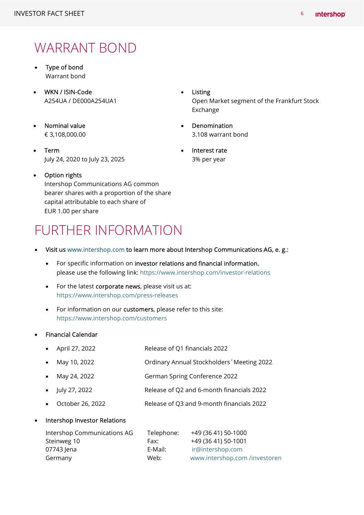### WARRANT BOND

- Type of bond Warrant bond
- WKN / ISIN-Code A254UA / DE000A254UA1
- Nominal value € 3,108,000.00
- Term July 24, 2020 to July 23, 2025
- **•** Listing Open Market segment of the Frankfurt Stock Exchange
- Denomination 3.108 warrant bond
- Interest rate 3% per year
- Option rights Intershop Communications AG common bearer shares with a proportion of the share capital attributable to each share of EUR 1.00 per share

### FURTHER INFORMATION

- Visit us www.intershop.com to learn more about Intershop Communications AG, e. g.:
	- For specific information on investor relations and financial information, please use the following link: https://www.intershop.com/investor-relations
	- For the latest corporate news, please visit us at: https://www.intershop.com/press-releases
	- For information on our customers, please refer to this site: https://www.intershop.com/customers

### Financial Calendar

- April 27, 2022 Release of Q1 financials 2022
- May 10, 2022 Ordinary Annual Stockholders´Meeting 2022
- May 24, 2022 German Spring Conference 2022
- July 27, 2022 Release of Q2 and 6-month financials 2022
- October 26, 2022 Release of Q3 and 9-month financials 2022

### Intershop Investor Relations

| Intershop Communications AG | Telephone: | +49 (36 41) 50-1000           |
|-----------------------------|------------|-------------------------------|
| Steinweg 10                 | Fax:       | +49 (36 41) 50-1001           |
| 07743 Jena                  | E-Mail:    | ir@intershop.com              |
| Germany                     | Web:       | www.intershop.com /investoren |